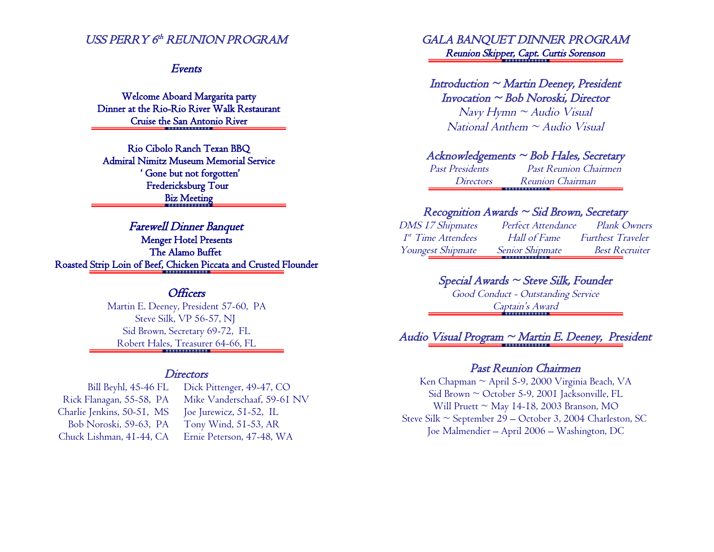### USS PERRY 6<sup>th</sup> REUNION PROGRAM

#### Events

Welcome Aboard Margarita party Dinner at the Rio-Rio River Walk Restaurant Cruise the San Antonio River

Rio Cibolo Ranch Texan BBQ Admiral Nimitz Museum Memorial Service ' Gone but not forgotten' Fredericksburg Tour Biz Meeting

Farewell Dinner Banquet Menger Hotel Presents The Alamo Buffet Roasted Strip Loin of Beef, Chicken Piccata and Crusted Flounder

## **Officers**

Martin E. Deeney, President 57-60, PA Steve Silk, VP 56-57, NJ Sid Brown, Secretary 69-72, FL Robert Hales, Treasurer 64-66, FL

#### **Directors**

Bill Beyhl, 45-46 FL Rick Flanagan, 55-58, PA Charlie Jenkins, 50-51, MS Bob Noroski, 59-63, PA Chuck Lishman, 41-44, CA

Dick Pittenger, 49-47, CO Mike Vanderschaaf, 59-61 NV Joe Jurewicz, 51-52, IL Tony Wind, 51-53, AR Ernie Peterson, 47-48, WA

### GALA BANQUET DINNER PROGRAM Reunion Skipper, Capt. Curtis Sorenson

#### $Introduction \sim Martin$  Deeney, President Invocation ~ Bob Noroski, Director

 $N$ avy Hymn ~ Audio Visual  $National$  Anthem  $\sim$  Audio Visual

#### $Acknowledgements \sim Bob$  Hales, Secretary

Past Presidents Past Reunion Chairmen Directors Reunion Chairman . . . . . . . . . . . . . .

#### Recognition Awards  $\sim$  Sid Brown, Secretary

DMS 17 Shipmates Perfect Attendance Plank Owners 1 st Hall of Fame Furthest Traveler Youngest Shipmate Senior Shipmate Best Recruiter

## Special Awards ~ Steve Silk, Founder

Good Conduct - Outstanding Service Captain's Award

# Audio Visual Program ~ Martin E. Deeney, President

#### Past Reunion Chairmen

Ken Chapman ~ April 5-9, 2000 Virginia Beach, VA Sid Brown ~ October 5-9, 2001 Jacksonville, FL Will Pruett  $\sim$  May 14-18, 2003 Branson, MO Steve Silk ~ September 29 – October 3, 2004 Charleston, SC Joe Malmendier – April 2006 – Washington, DC